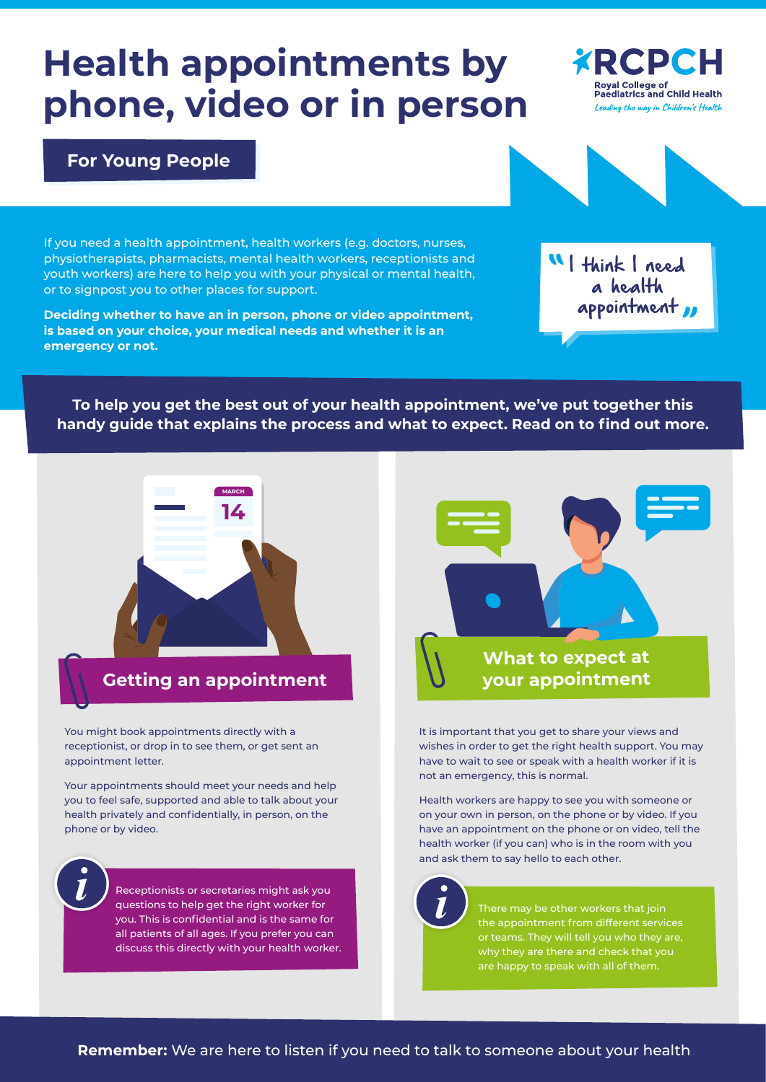# **Health appointments by phone, video or in person**

You might book appointments directly with a receptionist, or drop in to see them, or get sent an appointment letter.

Your appointments should meet your needs and help you to feel safe, supported and able to talk about your health privately and confidentially, in person, on the phone or by video.

It is important that you get to share your views and wishes in order to get the right health support. You may have to wait to see or speak with a health worker if it is not an emergency, this is normal.

Health workers are happy to see you with someone or on your own in person, on the phone or by video. If you have an appointment on the phone or on video, tell the health worker (if you can) who is in the room with you and ask them to say hello to each other.

**To help you get the best out of your health appointment, we've put together this handy guide that explains the process and what to expect. Read on to find out more.**

# **For Young People**

If you need a health appointment, health workers (e.g. doctors, nurses, physiotherapists, pharmacists, mental health workers, receptionists and youth workers) are here to help you with your physical or mental health, or to signpost you to other places for support.

**Deciding whether to have an in person, phone or video appointment, is based on your choice, your medical needs and whether it is an emergency or not.**







Receptionists or secretaries might ask you questions to help get the right worker for you. This is confidential and is the same for all patients of all ages. If you prefer you can discuss this directly with your health worker.



There may be other workers that join the appointment from different services or teams. They will tell you who they are, why they are there and check that you are happy to speak with all of them.



**MARCH**

**14**

### **Remember:** We are here to listen if you need to talk to someone about your health